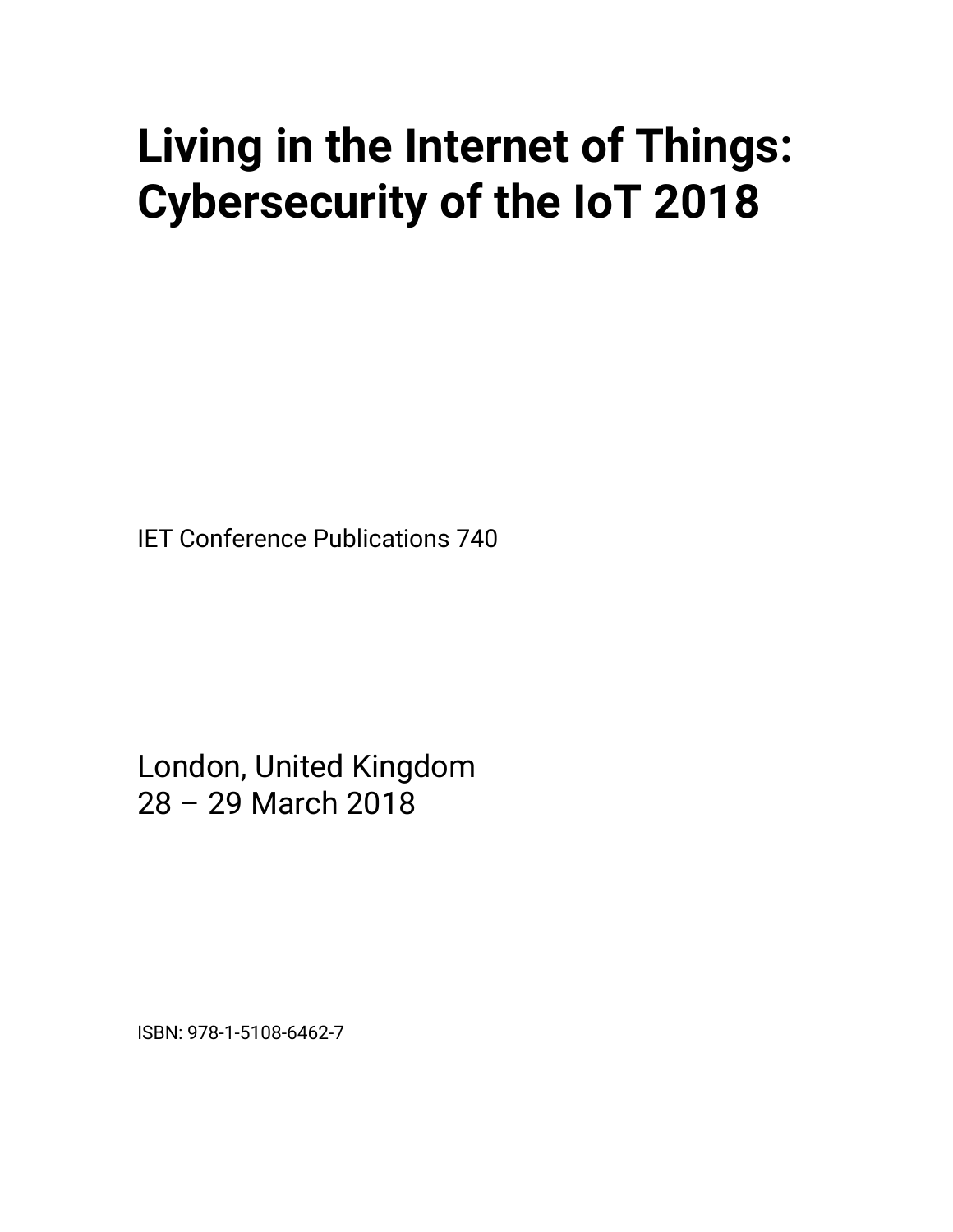## **Living in the Internet of Things: Cybersecurity of the IoT 2018**

IET Conference Publications 740

London, United Kingdom 28 – 29 March 2018

ISBN: 978-1-5108-6462-7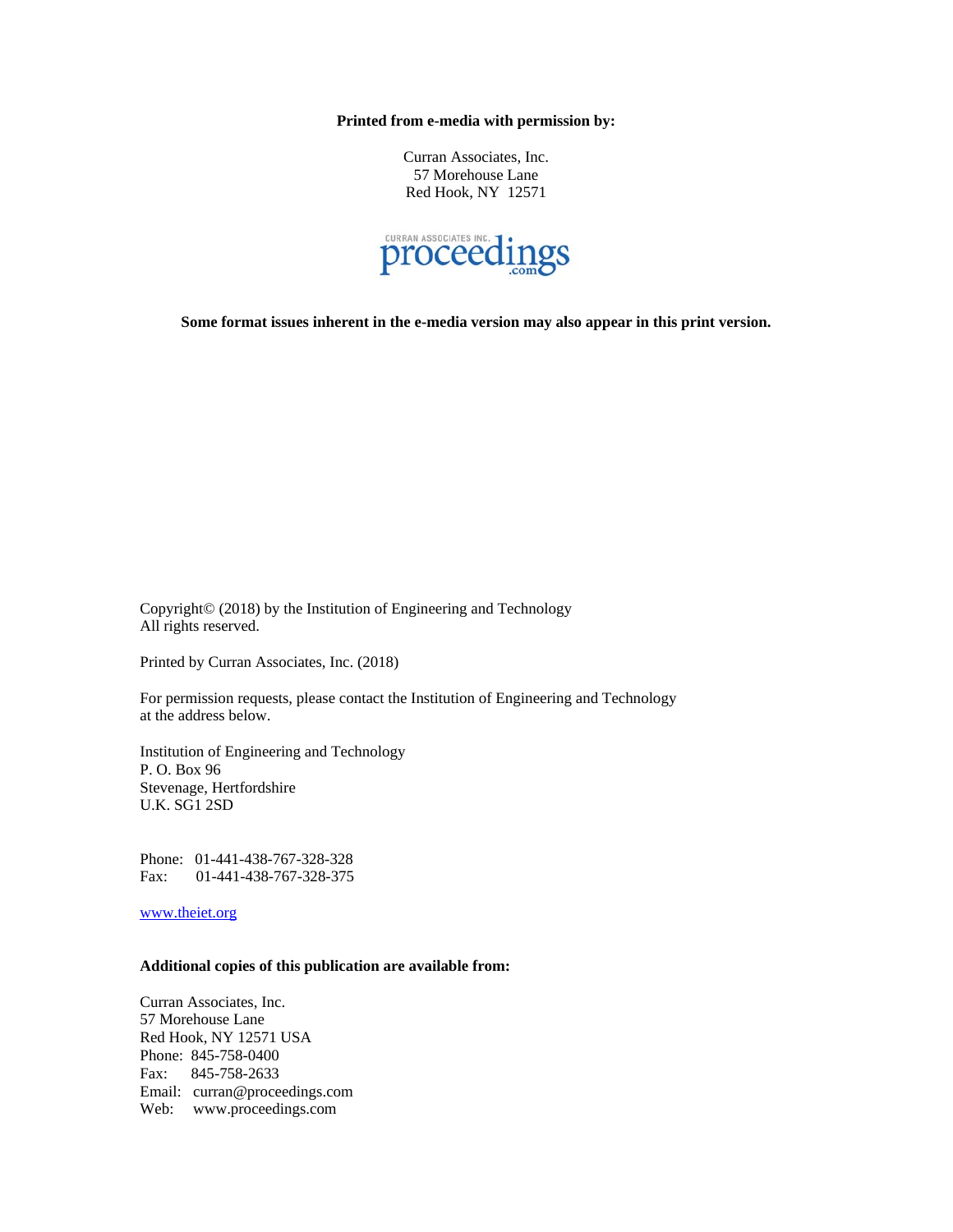**Printed from e-media with permission by:** 

Curran Associates, Inc. 57 Morehouse Lane Red Hook, NY 12571



**Some format issues inherent in the e-media version may also appear in this print version.** 

Copyright© (2018) by the Institution of Engineering and Technology All rights reserved.

Printed by Curran Associates, Inc. (2018)

For permission requests, please contact the Institution of Engineering and Technology at the address below.

Institution of Engineering and Technology P. O. Box 96 Stevenage, Hertfordshire U.K. SG1 2SD

Phone: 01-441-438-767-328-328 Fax: 01-441-438-767-328-375

www.theiet.org

## **Additional copies of this publication are available from:**

Curran Associates, Inc. 57 Morehouse Lane Red Hook, NY 12571 USA Phone: 845-758-0400 Fax: 845-758-2633 Email: curran@proceedings.com Web: www.proceedings.com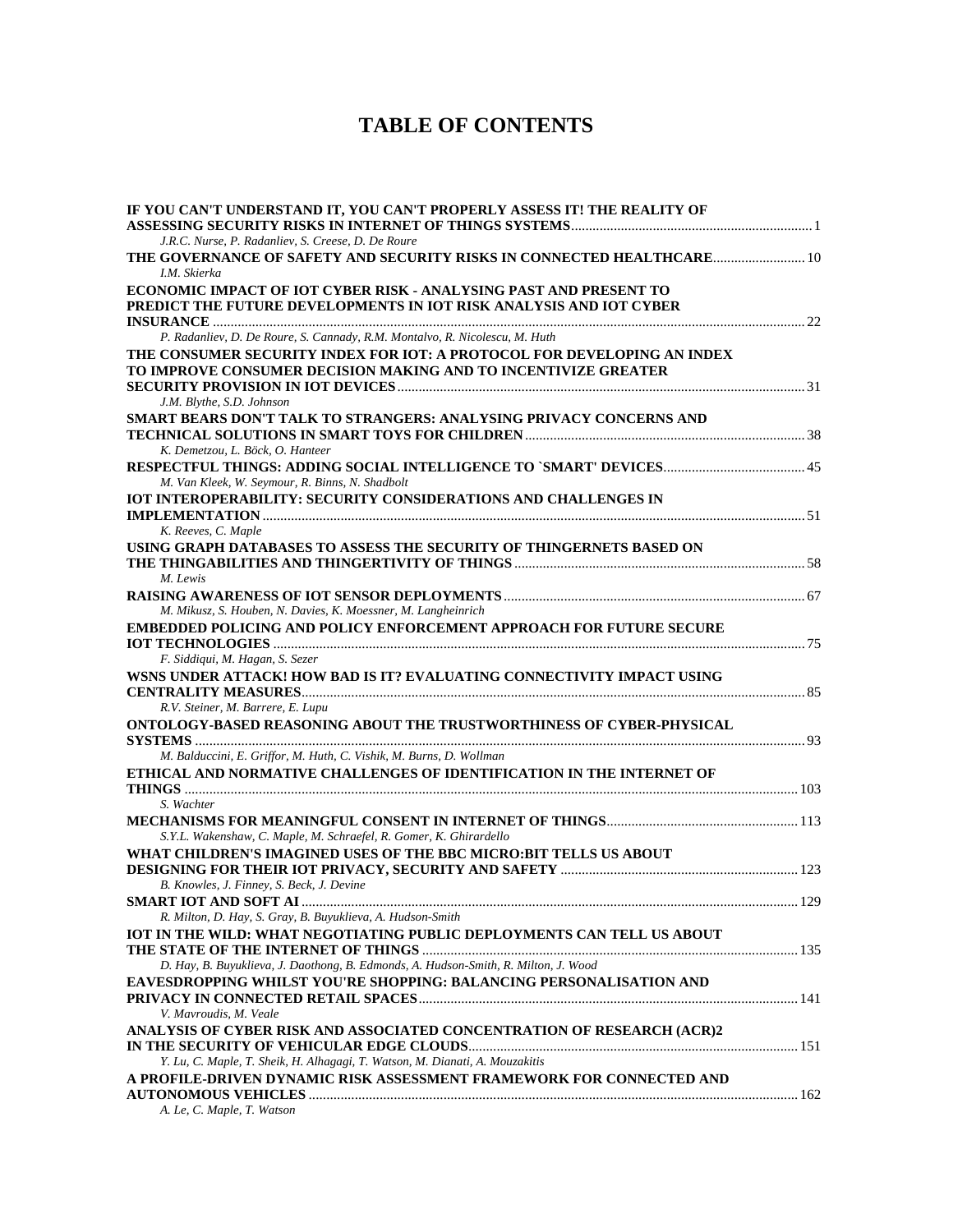## **TABLE OF CONTENTS**

| IF YOU CAN'T UNDERSTAND IT, YOU CAN'T PROPERLY ASSESS IT! THE REALITY OF                                                                |  |
|-----------------------------------------------------------------------------------------------------------------------------------------|--|
| J.R.C. Nurse, P. Radanliev, S. Creese, D. De Roure<br>THE GOVERNANCE OF SAFETY AND SECURITY RISKS IN CONNECTED HEALTHCARE 10            |  |
| I.M. Skierka                                                                                                                            |  |
| ECONOMIC IMPACT OF IOT CYBER RISK - ANALYSING PAST AND PRESENT TO<br>PREDICT THE FUTURE DEVELOPMENTS IN IOT RISK ANALYSIS AND IOT CYBER |  |
| P. Radanliev, D. De Roure, S. Cannady, R.M. Montalvo, R. Nicolescu, M. Huth                                                             |  |
| THE CONSUMER SECURITY INDEX FOR IOT: A PROTOCOL FOR DEVELOPING AN INDEX                                                                 |  |
| TO IMPROVE CONSUMER DECISION MAKING AND TO INCENTIVIZE GREATER                                                                          |  |
|                                                                                                                                         |  |
| J.M. Blythe, S.D. Johnson                                                                                                               |  |
| SMART BEARS DON'T TALK TO STRANGERS: ANALYSING PRIVACY CONCERNS AND                                                                     |  |
|                                                                                                                                         |  |
| K. Demetzou, L. Böck, O. Hanteer                                                                                                        |  |
| M. Van Kleek, W. Seymour, R. Binns, N. Shadbolt                                                                                         |  |
| <b>IOT INTEROPERABILITY: SECURITY CONSIDERATIONS AND CHALLENGES IN</b>                                                                  |  |
|                                                                                                                                         |  |
| K. Reeves, C. Maple                                                                                                                     |  |
| USING GRAPH DATABASES TO ASSESS THE SECURITY OF THINGERNETS BASED ON                                                                    |  |
|                                                                                                                                         |  |
| M. Lewis                                                                                                                                |  |
|                                                                                                                                         |  |
| M. Mikusz, S. Houben, N. Davies, K. Moessner, M. Langheinrich                                                                           |  |
| <b>EMBEDDED POLICING AND POLICY ENFORCEMENT APPROACH FOR FUTURE SECURE</b>                                                              |  |
| F. Siddiqui, M. Hagan, S. Sezer                                                                                                         |  |
| WSNS UNDER ATTACK! HOW BAD IS IT? EVALUATING CONNECTIVITY IMPACT USING                                                                  |  |
|                                                                                                                                         |  |
| R.V. Steiner, M. Barrere, E. Lupu                                                                                                       |  |
| ONTOLOGY-BASED REASONING ABOUT THE TRUSTWORTHINESS OF CYBER-PHYSICAL                                                                    |  |
| M. Balduccini, E. Griffor, M. Huth, C. Vishik, M. Burns, D. Wollman                                                                     |  |
| ETHICAL AND NORMATIVE CHALLENGES OF IDENTIFICATION IN THE INTERNET OF                                                                   |  |
|                                                                                                                                         |  |
| S. Wachter                                                                                                                              |  |
|                                                                                                                                         |  |
| S.Y.L. Wakenshaw, C. Maple, M. Schraefel, R. Gomer, K. Ghirardello                                                                      |  |
| WHAT CHILDREN'S IMAGINED USES OF THE BBC MICRO:BIT TELLS US ABOUT                                                                       |  |
| B. Knowles, J. Finney, S. Beck, J. Devine                                                                                               |  |
|                                                                                                                                         |  |
| R. Milton, D. Hay, S. Gray, B. Buyuklieva, A. Hudson-Smith                                                                              |  |
| <b>IOT IN THE WILD: WHAT NEGOTIATING PUBLIC DEPLOYMENTS CAN TELL US ABOUT</b>                                                           |  |
|                                                                                                                                         |  |
| D. Hay, B. Buyuklieva, J. Daothong, B. Edmonds, A. Hudson-Smith, R. Milton, J. Wood                                                     |  |
| EAVESDROPPING WHILST YOU'RE SHOPPING: BALANCING PERSONALISATION AND                                                                     |  |
|                                                                                                                                         |  |
| V. Mavroudis, M. Veale                                                                                                                  |  |
| ANALYSIS OF CYBER RISK AND ASSOCIATED CONCENTRATION OF RESEARCH (ACR)2                                                                  |  |
| Y. Lu, C. Maple, T. Sheik, H. Alhagagi, T. Watson, M. Dianati, A. Mouzakitis                                                            |  |
| A PROFILE-DRIVEN DYNAMIC RISK ASSESSMENT FRAMEWORK FOR CONNECTED AND                                                                    |  |
|                                                                                                                                         |  |
| A. Le, C. Maple, T. Watson                                                                                                              |  |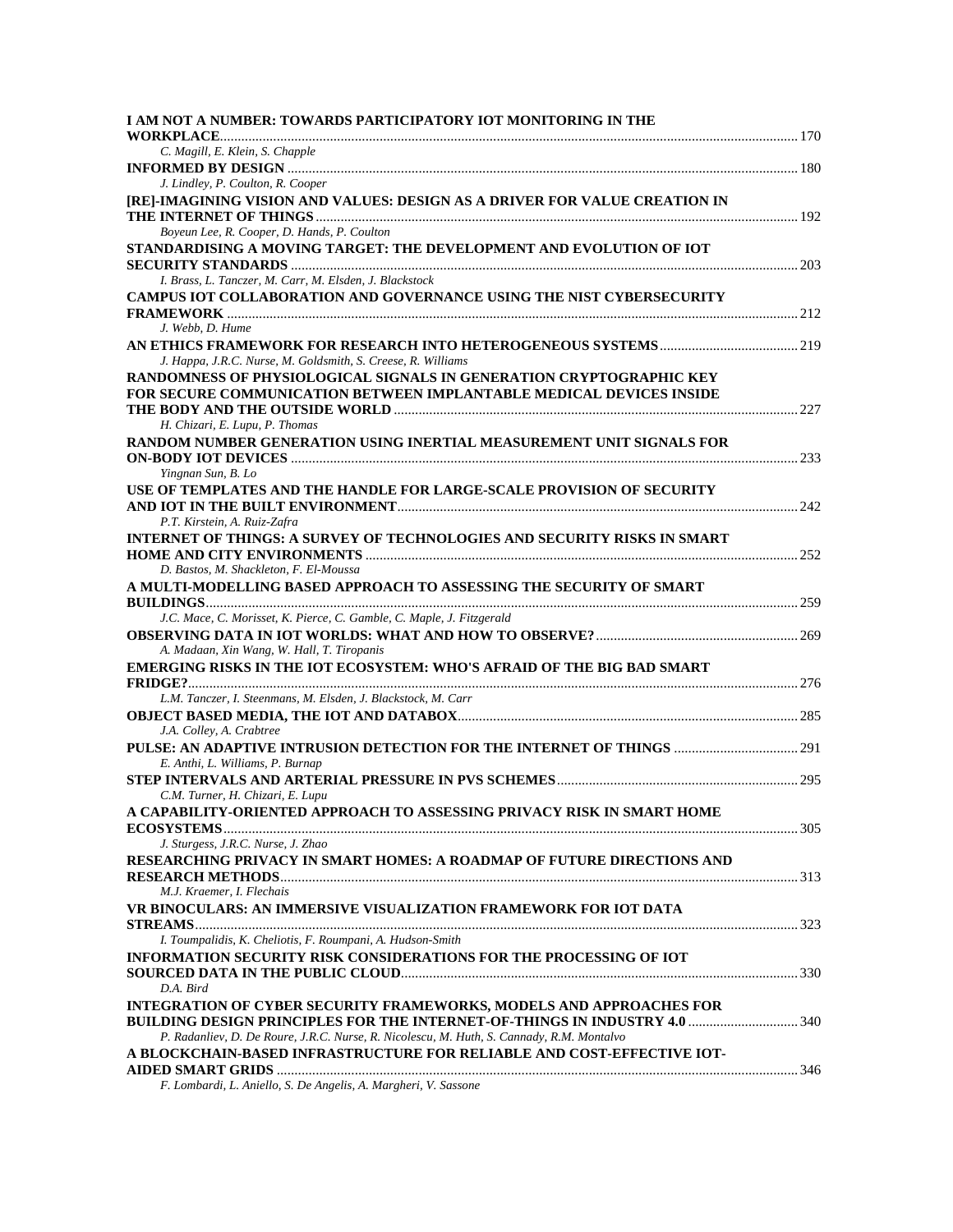| I AM NOT A NUMBER: TOWARDS PARTICIPATORY IOT MONITORING IN THE                            |  |
|-------------------------------------------------------------------------------------------|--|
|                                                                                           |  |
| C. Magill, E. Klein, S. Chapple                                                           |  |
|                                                                                           |  |
| J. Lindley, P. Coulton, R. Cooper                                                         |  |
| [RE]-IMAGINING VISION AND VALUES: DESIGN AS A DRIVER FOR VALUE CREATION IN                |  |
|                                                                                           |  |
| Boyeun Lee, R. Cooper, D. Hands, P. Coulton                                               |  |
| STANDARDISING A MOVING TARGET: THE DEVELOPMENT AND EVOLUTION OF IOT                       |  |
|                                                                                           |  |
| I. Brass, L. Tanczer, M. Carr, M. Elsden, J. Blackstock                                   |  |
| <b>CAMPUS IOT COLLABORATION AND GOVERNANCE USING THE NIST CYBERSECURITY</b>               |  |
|                                                                                           |  |
| J. Webb, D. Hume                                                                          |  |
|                                                                                           |  |
| J. Happa, J.R.C. Nurse, M. Goldsmith, S. Creese, R. Williams                              |  |
| RANDOMNESS OF PHYSIOLOGICAL SIGNALS IN GENERATION CRYPTOGRAPHIC KEY                       |  |
| FOR SECURE COMMUNICATION BETWEEN IMPLANTABLE MEDICAL DEVICES INSIDE                       |  |
|                                                                                           |  |
| H. Chizari, E. Lupu, P. Thomas                                                            |  |
| RANDOM NUMBER GENERATION USING INERTIAL MEASUREMENT UNIT SIGNALS FOR                      |  |
|                                                                                           |  |
| Yingnan Sun, B. Lo                                                                        |  |
| USE OF TEMPLATES AND THE HANDLE FOR LARGE-SCALE PROVISION OF SECURITY                     |  |
|                                                                                           |  |
| P.T. Kirstein, A. Ruiz-Zafra                                                              |  |
| <b>INTERNET OF THINGS: A SURVEY OF TECHNOLOGIES AND SECURITY RISKS IN SMART</b>           |  |
|                                                                                           |  |
| D. Bastos, M. Shackleton, F. El-Moussa                                                    |  |
| A MULTI-MODELLING BASED APPROACH TO ASSESSING THE SECURITY OF SMART                       |  |
|                                                                                           |  |
| J.C. Mace, C. Morisset, K. Pierce, C. Gamble, C. Maple, J. Fitzgerald                     |  |
|                                                                                           |  |
| A. Madaan, Xin Wang, W. Hall, T. Tiropanis                                                |  |
| <b>EMERGING RISKS IN THE IOT ECOSYSTEM: WHO'S AFRAID OF THE BIG BAD SMART</b>             |  |
|                                                                                           |  |
| L.M. Tanczer, I. Steenmans, M. Elsden, J. Blackstock, M. Carr                             |  |
|                                                                                           |  |
| J.A. Colley, A. Crabtree                                                                  |  |
| PULSE: AN ADAPTIVE INTRUSION DETECTION FOR THE INTERNET OF THINGS  291                    |  |
| E. Anthi, L. Williams, P. Burnap                                                          |  |
|                                                                                           |  |
| C.M. Turner, H. Chizari, E. Lupu                                                          |  |
| A CAPABILITY-ORIENTED APPROACH TO ASSESSING PRIVACY RISK IN SMART HOME                    |  |
|                                                                                           |  |
| J. Sturgess, J.R.C. Nurse, J. Zhao                                                        |  |
| RESEARCHING PRIVACY IN SMART HOMES: A ROADMAP OF FUTURE DIRECTIONS AND                    |  |
|                                                                                           |  |
| M.J. Kraemer, I. Flechais                                                                 |  |
| VR BINOCULARS: AN IMMERSIVE VISUALIZATION FRAMEWORK FOR IOT DATA                          |  |
|                                                                                           |  |
| I. Toumpalidis, K. Cheliotis, F. Roumpani, A. Hudson-Smith                                |  |
| INFORMATION SECURITY RISK CONSIDERATIONS FOR THE PROCESSING OF IOT                        |  |
|                                                                                           |  |
| D.A. Bird                                                                                 |  |
| <b>INTEGRATION OF CYBER SECURITY FRAMEWORKS, MODELS AND APPROACHES FOR</b>                |  |
| <b>BUILDING DESIGN PRINCIPLES FOR THE INTERNET-OF-THINGS IN INDUSTRY 4.0  340</b>         |  |
| P. Radanliev, D. De Roure, J.R.C. Nurse, R. Nicolescu, M. Huth, S. Cannady, R.M. Montalvo |  |
| A BLOCKCHAIN-BASED INFRASTRUCTURE FOR RELIABLE AND COST-EFFECTIVE IOT-                    |  |
|                                                                                           |  |
|                                                                                           |  |

*F. Lombardi, L. Aniello, S. De Angelis, A. Margheri, V. Sassone*